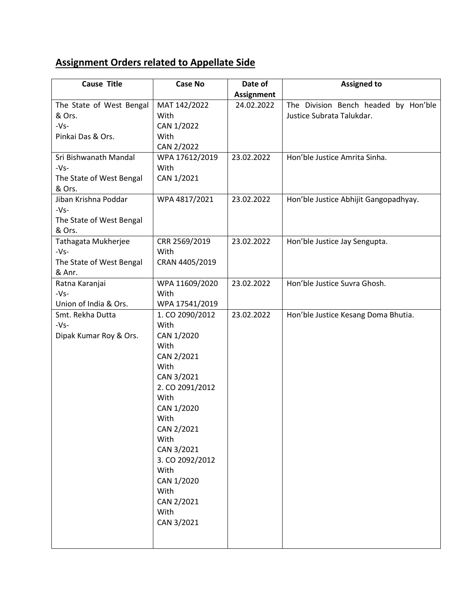## **Assignment Orders related to Appellate Side**

| <b>Cause Title</b>       | <b>Case No</b>  | Date of           | <b>Assigned to</b>                    |
|--------------------------|-----------------|-------------------|---------------------------------------|
|                          |                 | <b>Assignment</b> |                                       |
| The State of West Bengal | MAT 142/2022    | 24.02.2022        | The Division Bench headed by Hon'ble  |
| & Ors.                   | With            |                   | Justice Subrata Talukdar.             |
| $-Vs-$                   | CAN 1/2022      |                   |                                       |
| Pinkai Das & Ors.        | With            |                   |                                       |
|                          | CAN 2/2022      |                   |                                       |
| Sri Bishwanath Mandal    | WPA 17612/2019  | 23.02.2022        | Hon'ble Justice Amrita Sinha.         |
| $-Vs-$                   | With            |                   |                                       |
| The State of West Bengal | CAN 1/2021      |                   |                                       |
| & Ors.                   |                 |                   |                                       |
| Jiban Krishna Poddar     | WPA 4817/2021   | 23.02.2022        | Hon'ble Justice Abhijit Gangopadhyay. |
| $-Vs-$                   |                 |                   |                                       |
| The State of West Bengal |                 |                   |                                       |
| & Ors.                   |                 |                   |                                       |
| Tathagata Mukherjee      | CRR 2569/2019   | 23.02.2022        | Hon'ble Justice Jay Sengupta.         |
| $-Vs-$                   | With            |                   |                                       |
| The State of West Bengal | CRAN 4405/2019  |                   |                                       |
| & Anr.                   |                 |                   |                                       |
| Ratna Karanjai           | WPA 11609/2020  | 23.02.2022        | Hon'ble Justice Suvra Ghosh.          |
| $-Vs-$                   | With            |                   |                                       |
| Union of India & Ors.    | WPA 17541/2019  |                   |                                       |
| Smt. Rekha Dutta         | 1. CO 2090/2012 | 23.02.2022        | Hon'ble Justice Kesang Doma Bhutia.   |
| $-Vs-$                   | With            |                   |                                       |
| Dipak Kumar Roy & Ors.   | CAN 1/2020      |                   |                                       |
|                          | With            |                   |                                       |
|                          | CAN 2/2021      |                   |                                       |
|                          | With            |                   |                                       |
|                          | CAN 3/2021      |                   |                                       |
|                          | 2. CO 2091/2012 |                   |                                       |
|                          | With            |                   |                                       |
|                          | CAN 1/2020      |                   |                                       |
|                          | With            |                   |                                       |
|                          | CAN 2/2021      |                   |                                       |
|                          | With            |                   |                                       |
|                          | CAN 3/2021      |                   |                                       |
|                          | 3. CO 2092/2012 |                   |                                       |
|                          | With            |                   |                                       |
|                          | CAN 1/2020      |                   |                                       |
|                          | With            |                   |                                       |
|                          | CAN 2/2021      |                   |                                       |
|                          | With            |                   |                                       |
|                          | CAN 3/2021      |                   |                                       |
|                          |                 |                   |                                       |
|                          |                 |                   |                                       |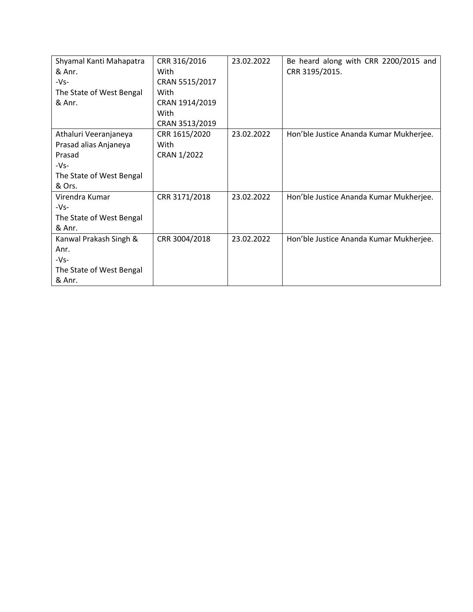| Shyamal Kanti Mahapatra  | CRR 316/2016   | 23.02.2022 | Be heard along with CRR 2200/2015 and   |
|--------------------------|----------------|------------|-----------------------------------------|
| & Anr.                   | With           |            | CRR 3195/2015.                          |
| $-Vs-$                   | CRAN 5515/2017 |            |                                         |
| The State of West Bengal | With           |            |                                         |
| & Anr.                   | CRAN 1914/2019 |            |                                         |
|                          | With           |            |                                         |
|                          | CRAN 3513/2019 |            |                                         |
| Athaluri Veeranjaneya    | CRR 1615/2020  | 23.02.2022 | Hon'ble Justice Ananda Kumar Mukherjee. |
| Prasad alias Anjaneya    | With           |            |                                         |
| Prasad                   | CRAN 1/2022    |            |                                         |
| $-Vs-$                   |                |            |                                         |
| The State of West Bengal |                |            |                                         |
| & Ors.                   |                |            |                                         |
| Virendra Kumar           | CRR 3171/2018  | 23.02.2022 | Hon'ble Justice Ananda Kumar Mukherjee. |
| $-Vs-$                   |                |            |                                         |
| The State of West Bengal |                |            |                                         |
| & Anr.                   |                |            |                                         |
| Kanwal Prakash Singh &   | CRR 3004/2018  | 23.02.2022 | Hon'ble Justice Ananda Kumar Mukherjee. |
| Anr.                     |                |            |                                         |
| $-Vs-$                   |                |            |                                         |
| The State of West Bengal |                |            |                                         |
| & Anr.                   |                |            |                                         |